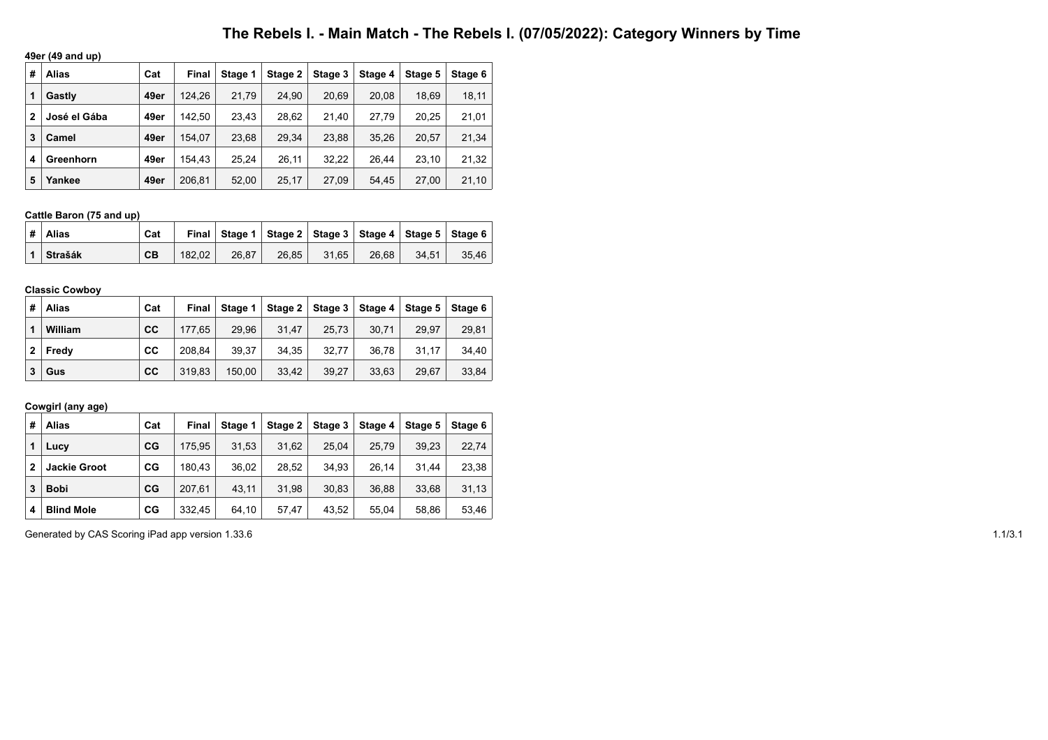# The Rebels I. - Main Match - The Rebels I. (07/05/2022): Category Winners by Time

49er (49 and up)

| # | <b>Alias</b> | Cat  | <b>Final</b> | Stage 1 | Stage 2 | Stage 3 | Stage 4 | Stage 5 | Stage 6 |
|---|--------------|------|--------------|---------|---------|---------|---------|---------|---------|
| 1 | Gastly       | 49er | 124.26       | 21,79   | 24.90   | 20,69   | 20.08   | 18.69   | 18,11   |
| 2 | José el Gába | 49er | 142.50       | 23.43   | 28,62   | 21.40   | 27.79   | 20.25   | 21,01   |
| 3 | Camel        | 49er | 154.07       | 23.68   | 29,34   | 23.88   | 35.26   | 20,57   | 21,34   |
| 4 | Greenhorn    | 49er | 154.43       | 25.24   | 26.11   | 32.22   | 26.44   | 23.10   | 21,32   |
| 5 | Yankee       | 49er | 206,81       | 52,00   | 25.17   | 27.09   | 54.45   | 27.00   | 21,10   |

## Cattle Baron (75 and up)

|                | ∣#∣Alias | Cat |        | Final Stage 1   Stage 2   Stage 3   Stage 4   Stage 5   Stage 6 |       |       |       |       |       |
|----------------|----------|-----|--------|-----------------------------------------------------------------|-------|-------|-------|-------|-------|
| $\overline{1}$ | Strašák  | CB  | 182.02 | 26.87                                                           | 26.85 | 31.65 | 26.68 | 34.51 | 35.46 |

#### **Classic Cowboy**

| #            | <b>Alias</b> | Cat | Final  | Stage 1 |       |       |       | Stage 2   Stage 3   Stage 4   Stage 5 | Stage 6 |
|--------------|--------------|-----|--------|---------|-------|-------|-------|---------------------------------------|---------|
|              | William      | cc  | 177.65 | 29.96   | 31.47 | 25.73 | 30.71 | 29.97                                 | 29,81   |
| $\mathbf{2}$ | Fredv        | CC  | 208.84 | 39.37   | 34.35 | 32.77 | 36.78 | 31.17                                 | 34.40   |
| 3            | Gus          | cc  | 319.83 | 150,00  | 33,42 | 39,27 | 33,63 | 29,67                                 | 33,84   |

#### Cowgirl (any age)

| # | <b>Alias</b>        | Cat | Final  | Stage 1 | Stage $2 \mid$ | Stage 3 | Stage 4 | Stage 5 | Stage 6 $ $ |
|---|---------------------|-----|--------|---------|----------------|---------|---------|---------|-------------|
|   | Lucy                | CG  | 175.95 | 31.53   | 31.62          | 25.04   | 25.79   | 39.23   | 22,74       |
| 2 | <b>Jackie Groot</b> | CG  | 180.43 | 36,02   | 28.52          | 34,93   | 26.14   | 31.44   | 23,38       |
| 3 | <b>Bobi</b>         | CG  | 207.61 | 43.11   | 31.98          | 30.83   | 36.88   | 33.68   | 31,13       |
| 4 | <b>Blind Mole</b>   | CG  | 332.45 | 64,10   | 57.47          | 43.52   | 55.04   | 58.86   | 53,46       |

Generated by CAS Scoring iPad app version 1.33.6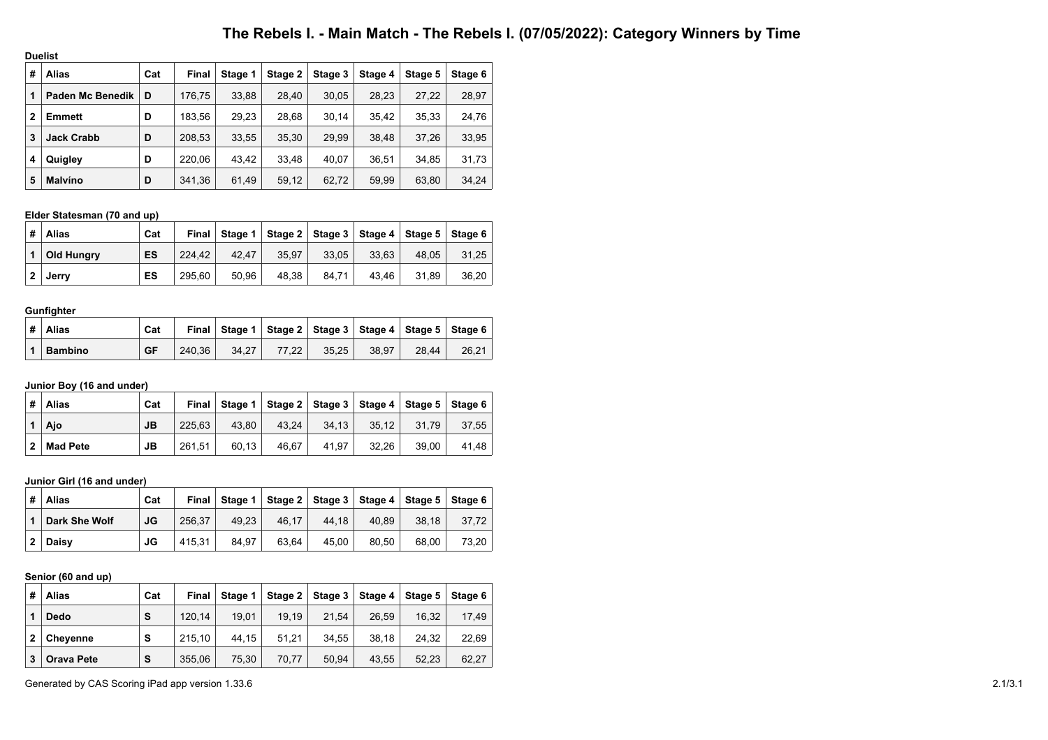# **The Rebels I. - Main Match - The Rebels I. (07/05/2022): Category Winners by Time**

|                | <b>Duelist</b>    |     |              |         |         |         |         |         |         |  |  |  |
|----------------|-------------------|-----|--------------|---------|---------|---------|---------|---------|---------|--|--|--|
| #              | <b>Alias</b>      | Cat | <b>Final</b> | Stage 1 | Stage 2 | Stage 3 | Stage 4 | Stage 5 | Stage 6 |  |  |  |
| 1              | Paden Mc Benedik  | D   | 176,75       | 33,88   | 28.40   | 30.05   | 28,23   | 27,22   | 28,97   |  |  |  |
| $\overline{2}$ | <b>Emmett</b>     | D   | 183,56       | 29,23   | 28.68   | 30.14   | 35.42   | 35.33   | 24.76   |  |  |  |
| 3              | <b>Jack Crabb</b> | D   | 208,53       | 33,55   | 35,30   | 29.99   | 38.48   | 37.26   | 33,95   |  |  |  |
| 4              | Quigley           | D   | 220.06       | 43.42   | 33,48   | 40,07   | 36,51   | 34,85   | 31,73   |  |  |  |
| 5              | <b>Malvíno</b>    | D   | 341,36       | 61,49   | 59,12   | 62,72   | 59,99   | 63,80   | 34.24   |  |  |  |

## **Elder Statesman (70 and up)**

| #              | Alias             | Cat | Final  | Stage 1 |       |       |       | Stage 2   Stage 3   Stage 4   Stage 5   Stage 6 |       |
|----------------|-------------------|-----|--------|---------|-------|-------|-------|-------------------------------------------------|-------|
| $\mathbf{1}$   | <b>Old Hungry</b> | ES  | 224.42 | 42.47   | 35.97 | 33.05 | 33.63 | 48.05                                           | 31.25 |
| 2 <sup>1</sup> | Jerrv             | ES  | 295.60 | 50.96   | 48.38 | 84.71 | 43.46 | 31.89                                           | 36.20 |

#### **Gunfighter**

| ∣#∣Alias       | Cat |        |       | Final   Stage 1   Stage 2   Stage 3   Stage 4   Stage 5   Stage 6 |       |       |       |       |
|----------------|-----|--------|-------|-------------------------------------------------------------------|-------|-------|-------|-------|
| <b>Bambino</b> | GF  | 240.36 | 34.27 | 77.22                                                             | 35.25 | 38.97 | 28.44 | 26.21 |

#### **Junior Boy (16 and under)**

| # | <b>Alias</b>    | Cat       | Final  | Stage 1 | Stage 2   Stage 3   Stage 4   Stage 5   Stage 6 |       |       |       |       |
|---|-----------------|-----------|--------|---------|-------------------------------------------------|-------|-------|-------|-------|
|   | Aio             | <b>JB</b> | 225.63 | 43.80   | 43.24                                           | 34.13 | 35.12 | 31.79 | 37.55 |
| 2 | <b>Mad Pete</b> | JВ        | 261.51 | 60.13   | 46.67                                           | 41.97 | 32.26 | 39.00 | 41.48 |

#### **Junior Girl (16 and under)**

| #                       | <b>Alias</b>         | Cat | Final  |       | Stage 1   Stage 2   Stage 3   Stage 4   Stage 5   Stage 6 |       |       |       |       |
|-------------------------|----------------------|-----|--------|-------|-----------------------------------------------------------|-------|-------|-------|-------|
|                         | <b>Dark She Wolf</b> | JG  | 256.37 | 49.23 | 46.17                                                     | 44.18 | 40.89 | 38.18 | 37.72 |
| $^{\circ}$ 2 $^{\circ}$ | Daisv                | JG  | 415.31 | 84.97 | 63.64                                                     | 45.00 | 80.50 | 68.00 | 73,20 |

# **Senior (60 and up)**

| # | Alias             | Cat | Final  | Stage 1 |       |       | Stage 2   Stage 3   Stage 4 | Stage 5   Stage 6 |       |
|---|-------------------|-----|--------|---------|-------|-------|-----------------------------|-------------------|-------|
|   | Dedo              | S   | 120.14 | 19.01   | 19.19 | 21.54 | 26.59                       | 16.32             | 17.49 |
| 2 | <b>Chevenne</b>   | s   | 215.10 | 44.15   | 51.21 | 34.55 | 38.18                       | 24.32             | 22.69 |
| 3 | <b>Orava Pete</b> | S   | 355,06 | 75.30   | 70.77 | 50.94 | 43.55                       | 52.23             | 62,27 |

Generated by CAS Scoring iPad app version 1.33.6 2.1/3.1